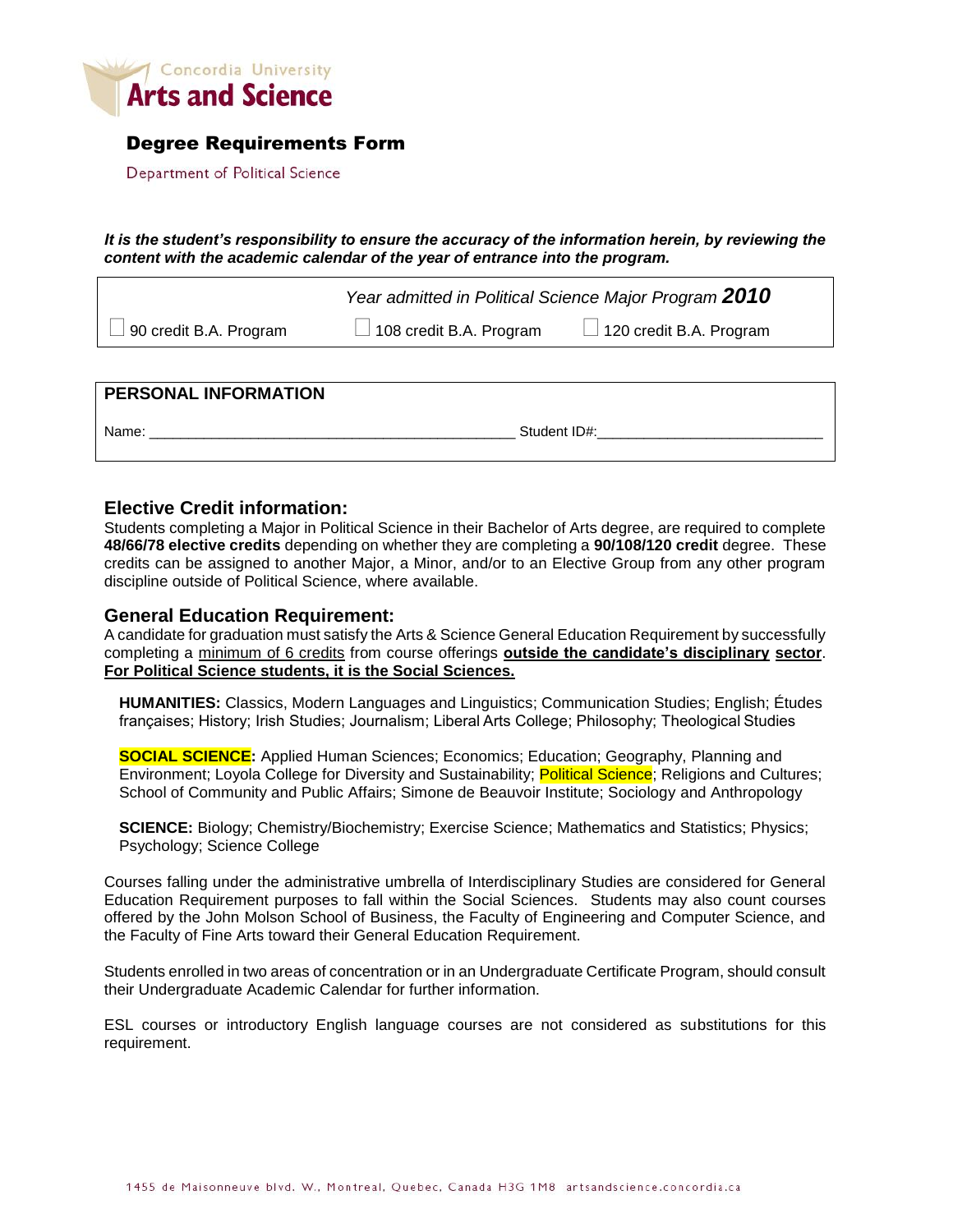

## Degree Requirements Form

Department of Political Science

*It is the student's responsibility to ensure the accuracy of the information herein, by reviewing the content with the academic calendar of the year of entrance into the program.*

 *Year admitted in Political Science Major Program 2010* 90 credit B.A. Program  $\Box$  108 credit B.A. Program  $\Box$  120 credit B.A. Program

| <b>PERSONAL INFORMATION</b> |              |
|-----------------------------|--------------|
| Name:                       | Student ID#: |

## **Elective Credit information:**

Students completing a Major in Political Science in their Bachelor of Arts degree, are required to complete **48/66/78 elective credits** depending on whether they are completing a **90/108/120 credit** degree. These credits can be assigned to another Major, a Minor, and/or to an Elective Group from any other program discipline outside of Political Science, where available.

## **General Education Requirement:**

A candidate for graduation must satisfy the Arts & Science General Education Requirement by successfully completing a minimum of 6 credits from course offerings **outside the candidate's disciplinary sector**. **For Political Science students, it is the Social Sciences.**

**HUMANITIES:** Classics, Modern Languages and Linguistics; Communication Studies; English; Études françaises; History; Irish Studies; Journalism; Liberal Arts College; Philosophy; Theological Studies

**SOCIAL SCIENCE:** Applied Human Sciences; Economics; Education; Geography, Planning and Environment; Loyola College for Diversity and Sustainability; Political Science; Religions and Cultures; School of Community and Public Affairs; Simone de Beauvoir Institute; Sociology and Anthropology

**SCIENCE:** Biology; Chemistry/Biochemistry; Exercise Science; Mathematics and Statistics; Physics; Psychology; Science College

Courses falling under the administrative umbrella of Interdisciplinary Studies are considered for General Education Requirement purposes to fall within the Social Sciences. Students may also count courses offered by the John Molson School of Business, the Faculty of Engineering and Computer Science, and the Faculty of Fine Arts toward their General Education Requirement.

Students enrolled in two areas of concentration or in an Undergraduate Certificate Program, should consult their Undergraduate Academic Calendar for further information.

ESL courses or introductory English language courses are not considered as substitutions for this requirement.